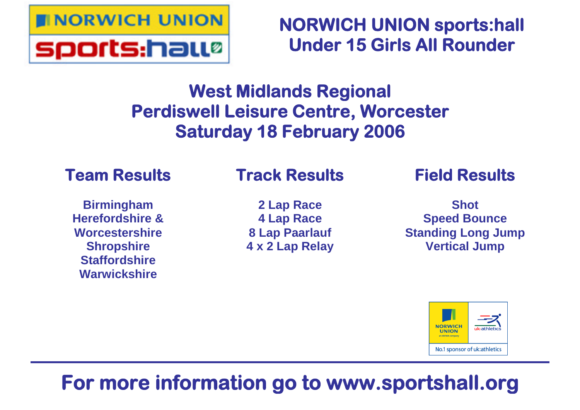

**NORWICH UNION sports:hall Under 15 Girls All Rounder**

# **West Midlands Regional Perdiswell Leisure Centre, Worcester Saturday 18 February 2006**

# **Team Results**

### **Birmingham Herefordshire & Worcestershire Shropshire Staffordshire Warwickshire**

# **Track Results**

**2 Lap Race 4 Lap Race 8 Lap Paarlauf 4 x 2 Lap Relay** **Field Results**

**Shot Speed Bounce Standing Long Jump Vertical Jump**



# **For more information go to www.sportshall.org**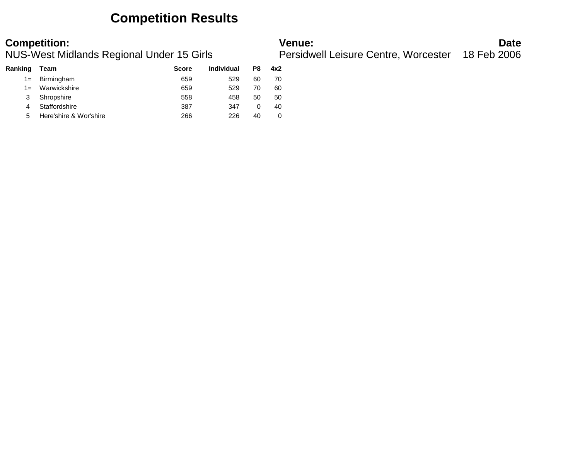### **Competition Results**

NUS-West Midlands Regional Under 15 Girls Persidwell Leisure Centre, Worcester 18 Feb 2006

| <b>Competition:</b>                       | Venue <sup>.</sup>                               | Date |
|-------------------------------------------|--------------------------------------------------|------|
| NUS-West Midlands Regional Under 15 Girls | Persidwell Leisure Centre, Worcester 18 Feb 2006 |      |

| Ranking | Team                   | <b>Score</b> | <b>Individual</b> | P8 | 4x2 |
|---------|------------------------|--------------|-------------------|----|-----|
| $1 =$   | Birmingham             | 659          | 529               | 60 | 70  |
| $1 =$   | Warwickshire           | 659          | 529               | 70 | 60  |
| 3       | Shropshire             | 558          | 458               | 50 | 50  |
| 4       | Staffordshire          | 387          | 347               | 0  | 40  |
| 5       | Here'shire & Wor'shire | 266          | 226               | 40 | 0   |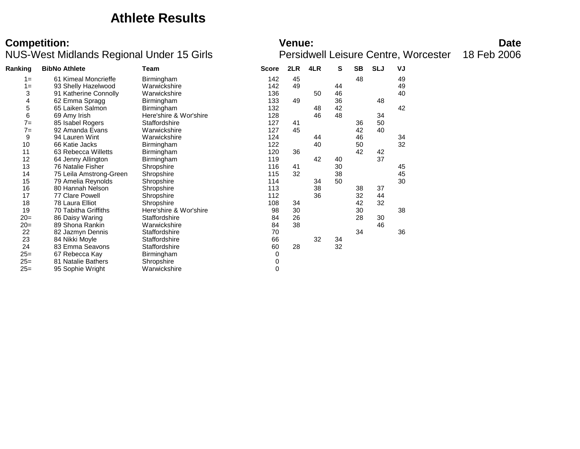### **Athlete Results**

### NUS-West Midlands Regional Under 15 Girls Persidwell Leisure Centre, Worcester 18 Feb 2006

| <b>Competition:</b>                       | <b>Venue:</b>                                           | <b>Date</b> |
|-------------------------------------------|---------------------------------------------------------|-------------|
| NUS-West Midlands Regional Under 15 Girls | <b>Persidwell Leisure Centre, Worcester</b> 18 Feb 2006 |             |

| Ranking | <b>BibNo Athlete</b><br>Team |                        | <b>Score</b> | 2LR | 4LR | S  | <b>SB</b> | <b>SLJ</b> | VJ |  |
|---------|------------------------------|------------------------|--------------|-----|-----|----|-----------|------------|----|--|
| $1 =$   | 61 Kimeal Moncrieffe         | Birmingham             | 142          | 45  |     |    | 48        |            | 49 |  |
| $1 =$   | 93 Shelly Hazelwood          | Warwickshire           | 142          | 49  |     | 44 |           |            | 49 |  |
| 3       | 91 Katherine Connolly        | Warwickshire           | 136          |     | 50  | 46 |           |            | 40 |  |
| 4       | 62 Emma Spragg               | Birmingham             | 133          | 49  |     | 36 |           | 48         |    |  |
| 5       | 65 Laiken Salmon             | Birmingham             | 132          |     | 48  | 42 |           |            | 42 |  |
| 6       | 69 Amy Irish                 | Here'shire & Wor'shire | 128          |     | 46  | 48 |           | 34         |    |  |
| $7=$    | 85 Isabel Rogers             | Staffordshire          | 127          | 41  |     |    | 36        | 50         |    |  |
| $7=$    | 92 Amanda Evans              | Warwickshire           | 127          | 45  |     |    | 42        | 40         |    |  |
| 9       | 94 Lauren Wint               | Warwickshire           | 124          |     | 44  |    | 46        |            | 34 |  |
| 10      | 66 Katie Jacks               | Birmingham             | 122          |     | 40  |    | 50        |            | 32 |  |
| 11      | 63 Rebecca Willetts          | Birmingham             | 120          | 36  |     |    | 42        | 42         |    |  |
| 12      | 64 Jenny Allington           | Birmingham             | 119          |     | 42  | 40 |           | 37         |    |  |
| 13      | 76 Natalie Fisher            | Shropshire             | 116          | 41  |     | 30 |           |            | 45 |  |
| 14      | 75 Leila Amstrong-Green      | Shropshire             | 115          | 32  |     | 38 |           |            | 45 |  |
| 15      | 79 Amelia Reynolds           | Shropshire             | 114          |     | 34  | 50 |           |            | 30 |  |
| 16      | 80 Hannah Nelson             | Shropshire             | 113          |     | 38  |    | 38        | 37         |    |  |
| 17      | 77 Clare Powell              | Shropshire             | 112          |     | 36  |    | 32        | 44         |    |  |
| 18      | 78 Laura Elliot              | Shropshire             | 108          | 34  |     |    | 42        | 32         |    |  |
| 19      | 70 Tabitha Griffiths         | Here'shire & Wor'shire | 98           | 30  |     |    | 30        |            | 38 |  |
| $20=$   | 86 Daisy Waring              | Staffordshire          | 84           | 26  |     |    | 28        | 30         |    |  |
| $20=$   | 89 Shona Rankin              | Warwickshire           | 84           | 38  |     |    |           | 46         |    |  |
| 22      | 82 Jazmyn Dennis             | Staffordshire          | 70           |     |     |    | 34        |            | 36 |  |
| 23      | 84 Nikki Moyle               | Staffordshire          | 66           |     | 32  | 34 |           |            |    |  |
| 24      | 83 Emma Seavons              | Staffordshire          | 60           | 28  |     | 32 |           |            |    |  |
| $25=$   | 67 Rebecca Kay               | Birmingham             | 0            |     |     |    |           |            |    |  |
| $25=$   | 81 Natalie Bathers           | Shropshire             | 0            |     |     |    |           |            |    |  |
| $25=$   | 95 Sophie Wright             | Warwickshire           | 0            |     |     |    |           |            |    |  |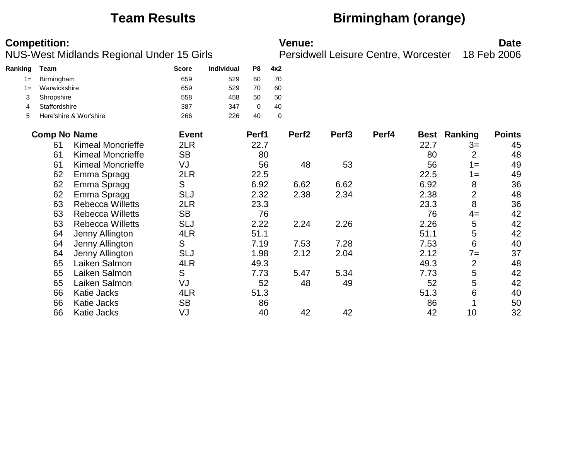# **Team Results Birmingham (orange)**

|         | <b>Competition:</b> |                                           |              |            |       |             | <b>Venue:</b>     |                                      |       |      |                     | <b>Date</b>   |
|---------|---------------------|-------------------------------------------|--------------|------------|-------|-------------|-------------------|--------------------------------------|-------|------|---------------------|---------------|
|         |                     | NUS-West Midlands Regional Under 15 Girls |              |            |       |             |                   | Persidwell Leisure Centre, Worcester |       |      |                     | 18 Feb 2006   |
| Ranking | Team                |                                           | <b>Score</b> | Individual | P8    | 4x2         |                   |                                      |       |      |                     |               |
| $1 =$   | Birmingham          |                                           | 659          | 529        | 60    | 70          |                   |                                      |       |      |                     |               |
| $1 =$   | Warwickshire        |                                           | 659          | 529        | 70    | 60          |                   |                                      |       |      |                     |               |
| 3       | Shropshire          |                                           | 558          | 458        | 50    | 50          |                   |                                      |       |      |                     |               |
| 4       | Staffordshire       |                                           | 387          | 347        | 0     | 40          |                   |                                      |       |      |                     |               |
| 5       |                     | Here'shire & Wor'shire                    | 266          | 226        | 40    | $\mathbf 0$ |                   |                                      |       |      |                     |               |
|         | <b>Comp No Name</b> |                                           | <b>Event</b> |            | Perf1 |             | Perf <sub>2</sub> | Perf <sub>3</sub>                    | Perf4 |      | <b>Best Ranking</b> | <b>Points</b> |
|         | 61                  | <b>Kimeal Moncrieffe</b>                  | 2LR          |            | 22.7  |             |                   |                                      |       | 22.7 | $3=$                | 45            |
|         | 61                  | <b>Kimeal Moncrieffe</b>                  | <b>SB</b>    |            | 80    |             |                   |                                      |       | 80   | $\overline{2}$      | 48            |
|         | 61                  | <b>Kimeal Moncrieffe</b>                  | VJ           |            | 56    |             | 48                | 53                                   |       | 56   | $1 =$               | 49            |
|         | 62                  | Emma Spragg                               | 2LR          |            | 22.5  |             |                   |                                      |       | 22.5 | $1 =$               | 49            |
|         | 62                  | Emma Spragg                               | S            |            | 6.92  |             | 6.62              | 6.62                                 |       | 6.92 | 8                   | 36            |
|         | 62                  | Emma Spragg                               | <b>SLJ</b>   |            | 2.32  |             | 2.38              | 2.34                                 |       | 2.38 | $\overline{2}$      | 48            |
|         | 63                  | <b>Rebecca Willetts</b>                   | 2LR          |            | 23.3  |             |                   |                                      |       | 23.3 | 8                   | 36            |
|         | 63                  | <b>Rebecca Willetts</b>                   | <b>SB</b>    |            | 76    |             |                   |                                      |       | 76   | $4=$                | 42            |
|         | 63                  | <b>Rebecca Willetts</b>                   | <b>SLJ</b>   |            | 2.22  |             | 2.24              | 2.26                                 |       | 2.26 | 5                   | 42            |
|         | 64                  | Jenny Allington                           | 4LR          |            | 51.1  |             |                   |                                      |       | 51.1 | 5                   | 42            |
|         | 64                  | Jenny Allington                           | S            |            | 7.19  |             | 7.53              | 7.28                                 |       | 7.53 | 6                   | 40            |
|         | 64                  | Jenny Allington                           | <b>SLJ</b>   |            | 1.98  |             | 2.12              | 2.04                                 |       | 2.12 | $7=$                | 37            |
|         | 65                  | Laiken Salmon                             | 4LR          |            | 49.3  |             |                   |                                      |       | 49.3 | $\overline{2}$      | 48            |
|         | 65                  | Laiken Salmon                             | S            |            | 7.73  |             | 5.47              | 5.34                                 |       | 7.73 | 5                   | 42            |
|         | 65                  | Laiken Salmon                             | VJ           |            | 52    |             | 48                | 49                                   |       | 52   | 5                   | 42            |
|         | 66                  | <b>Katie Jacks</b>                        | 4LR          |            | 51.3  |             |                   |                                      |       | 51.3 | 6                   | 40            |
|         | 66                  | <b>Katie Jacks</b>                        | <b>SB</b>    |            | 86    |             |                   |                                      |       | 86   |                     | 50            |
|         | 66                  | Katie Jacks                               | VJ           |            | 40    |             | 42                | 42                                   |       | 42   | 10                  | 32            |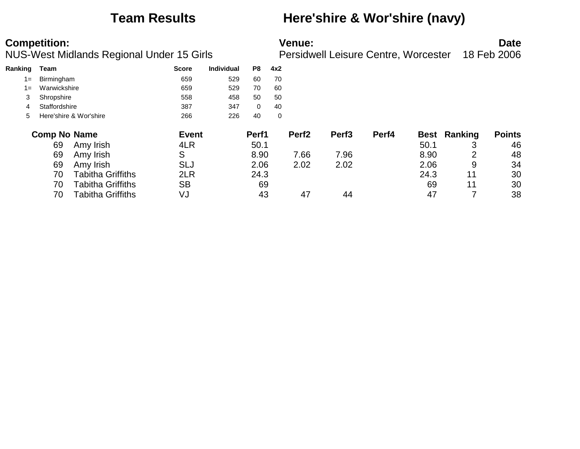### **Team Results Here'shire & Wor'shire (navy)**

| Ranking | Team                |                          | <b>Score</b> | Individual | P8           | 4x2         |                   |                   |       |      |              |               |
|---------|---------------------|--------------------------|--------------|------------|--------------|-------------|-------------------|-------------------|-------|------|--------------|---------------|
| $1 =$   | Birmingham          |                          | 659          | 529        | 60           | 70          |                   |                   |       |      |              |               |
| $1 =$   | Warwickshire        |                          | 659          | 529        | 70           | 60          |                   |                   |       |      |              |               |
| 3       | Shropshire          |                          | 558          | 458        | 50           | 50          |                   |                   |       |      |              |               |
| 4       | Staffordshire       |                          | 387          | 347        | $\mathbf{0}$ | 40          |                   |                   |       |      |              |               |
| 5.      |                     | Here'shire & Wor'shire   | 266          | 226        | 40           | $\mathbf 0$ |                   |                   |       |      |              |               |
|         | <b>Comp No Name</b> |                          | <b>Event</b> |            | Perf1        |             | Perf <sub>2</sub> | Perf <sub>3</sub> | Perf4 |      | Best Ranking | <b>Points</b> |
|         | 69                  | Amy Irish                | 4LR          |            | 50.1         |             |                   |                   |       | 50.1 |              | 46            |
|         | 69                  | Amy Irish                | S            |            | 8.90         |             | 7.66              | 7.96              |       | 8.90 | 2            | 48            |
|         | 69                  | Amy Irish                | SLJ          |            | 2.06         |             | 2.02              | 2.02              |       | 2.06 | 9            | 34            |
|         | 70                  | <b>Tabitha Griffiths</b> | 2LR          |            | 24.3         |             |                   |                   |       | 24.3 | 11           | 30            |
|         | 70                  | <b>Tabitha Griffiths</b> | <b>SB</b>    |            | 69           |             |                   |                   |       | 69   | 11           | 30            |
|         | 70                  | <b>Tabitha Griffiths</b> | VJ           |            | 43           |             | 47                | 44                |       | 47   |              | 38            |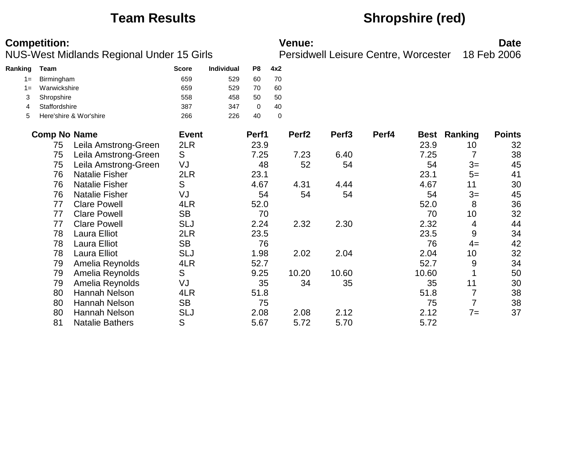# **Team Results Shropshire (red)**

|         | <b>Competition:</b><br>NUS-West Midlands Regional Under 15 Girls |                        |              |            |       |             | <b>Venue:</b>     |                                      |       |             |         | <b>Date</b>   |
|---------|------------------------------------------------------------------|------------------------|--------------|------------|-------|-------------|-------------------|--------------------------------------|-------|-------------|---------|---------------|
|         |                                                                  |                        |              |            |       |             |                   | Persidwell Leisure Centre, Worcester |       |             |         | 18 Feb 2006   |
| Ranking | <b>Team</b>                                                      |                        | <b>Score</b> | Individual | P8    | 4x2         |                   |                                      |       |             |         |               |
| $1 =$   | Birmingham                                                       |                        | 659          | 529        | 60    | 70          |                   |                                      |       |             |         |               |
| $1 =$   | Warwickshire                                                     |                        | 659          | 529        | 70    | 60          |                   |                                      |       |             |         |               |
| 3       | Shropshire                                                       |                        | 558          | 458        | 50    | 50          |                   |                                      |       |             |         |               |
| 4       | Staffordshire                                                    |                        | 387          | 347        | 0     | 40          |                   |                                      |       |             |         |               |
| 5       |                                                                  | Here'shire & Wor'shire | 266          | 226        | 40    | $\mathbf 0$ |                   |                                      |       |             |         |               |
|         | <b>Comp No Name</b>                                              |                        | <b>Event</b> |            | Perf1 |             | Perf <sub>2</sub> | Perf <sub>3</sub>                    | Perf4 | <b>Best</b> | Ranking | <b>Points</b> |
|         | 75                                                               | Leila Amstrong-Green   | 2LR          |            | 23.9  |             |                   |                                      |       | 23.9        | 10      | 32            |
|         | 75                                                               | Leila Amstrong-Green   | S            |            | 7.25  |             | 7.23              | 6.40                                 |       | 7.25        | 7       | 38            |
|         | 75                                                               | Leila Amstrong-Green   | VJ           |            | 48    |             | 52                | 54                                   |       | 54          | $3=$    | 45            |
|         | 76                                                               | <b>Natalie Fisher</b>  | 2LR          |            | 23.1  |             |                   |                                      |       | 23.1        | $5=$    | 41            |
|         | 76                                                               | <b>Natalie Fisher</b>  | S            |            | 4.67  |             | 4.31              | 4.44                                 |       | 4.67        | 11      | 30            |
|         | 76                                                               | <b>Natalie Fisher</b>  | VJ           |            | 54    |             | 54                | 54                                   |       | 54          | $3=$    | 45            |
|         | 77                                                               | <b>Clare Powell</b>    | 4LR          |            | 52.0  |             |                   |                                      |       | 52.0        | 8       | 36            |
|         | 77                                                               | <b>Clare Powell</b>    | <b>SB</b>    |            | 70    |             |                   |                                      |       | 70          | 10      | 32            |
|         | 77                                                               | <b>Clare Powell</b>    | <b>SLJ</b>   |            | 2.24  |             | 2.32              | 2.30                                 |       | 2.32        | 4       | 44            |
|         | 78                                                               | <b>Laura Elliot</b>    | 2LR          |            | 23.5  |             |                   |                                      |       | 23.5        | 9       | 34            |
|         | 78                                                               | Laura Elliot           | <b>SB</b>    |            | 76    |             |                   |                                      |       | 76          | $4=$    | 42            |
|         | 78                                                               | Laura Elliot           | <b>SLJ</b>   |            | 1.98  |             | 2.02              | 2.04                                 |       | 2.04        | 10      | 32            |
|         | 79                                                               | Amelia Reynolds        | 4LR          |            | 52.7  |             |                   |                                      |       | 52.7        | 9       | 34            |
|         | 79                                                               | Amelia Reynolds        | S            |            | 9.25  |             | 10.20             | 10.60                                |       | 10.60       |         | 50            |
|         | 79                                                               | Amelia Reynolds        | VJ           |            | 35    |             | 34                | 35                                   |       | 35          | 11      | 30            |
|         | 80                                                               | Hannah Nelson          | 4LR          |            | 51.8  |             |                   |                                      |       | 51.8        | 7       | 38            |
|         | 80                                                               | Hannah Nelson          | <b>SB</b>    |            | 75    |             |                   |                                      |       | 75          | 7       | 38            |
|         | 80                                                               | <b>Hannah Nelson</b>   | <b>SLJ</b>   |            | 2.08  |             | 2.08              | 2.12                                 |       | 2.12        | $7=$    | 37            |
|         | 81                                                               | <b>Natalie Bathers</b> | S            |            | 5.67  |             | 5.72              | 5.70                                 |       | 5.72        |         |               |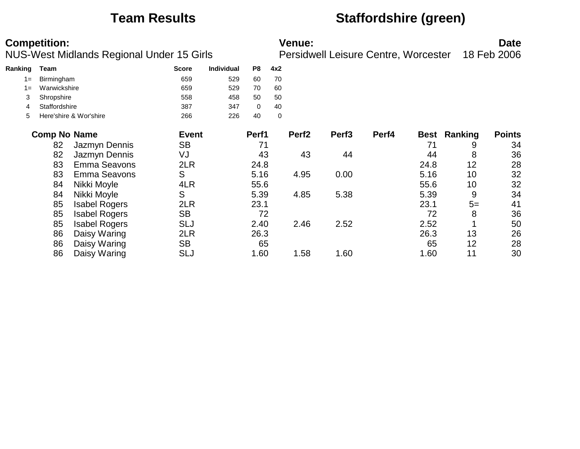### **Team Results Staffordshire (green)**

| <b>Competition:</b> | <b>Venue:</b> | <b>Date</b> |
|---------------------|---------------|-------------|
|                     |               |             |

NUS-West Midlands Regional Under 15 Girls Persidwell Leisure Centre, Worcester 18 Feb 2006

| Ranking | Team                   | <b>Score</b> | <b>Individual</b> | P8 | 4x2 |
|---------|------------------------|--------------|-------------------|----|-----|
| $1 =$   | Birmingham             | 659          | 529               | 60 | 70  |
| $1 =$   | Warwickshire           | 659          | 529               | 70 | 60  |
|         | Shropshire             | 558          | 458               | 50 | 50  |
| 4       | Staffordshire          | 387          | 347               |    | 40  |
| 5       | Here'shire & Wor'shire | 266          | 226               | 40 | 0   |

| <b>Comp No Name</b> |                      | <b>Event</b> | Perf1 | Perf <sub>2</sub> | Perf <sub>3</sub> | Perf4 |      | <b>Best Ranking</b> | <b>Points</b> |
|---------------------|----------------------|--------------|-------|-------------------|-------------------|-------|------|---------------------|---------------|
| 82                  | Jazmyn Dennis        | <b>SB</b>    | 71    |                   |                   |       | 71   | 9                   | 34            |
| 82                  | Jazmyn Dennis        | VJ           | 43    | 43                | 44                |       | 44   | 8                   | 36            |
| 83                  | <b>Emma Seavons</b>  | 2LR          | 24.8  |                   |                   |       | 24.8 | 12                  | 28            |
| 83                  | <b>Emma Seavons</b>  | S            | 5.16  | 4.95              | 0.00              |       | 5.16 | 10                  | 32            |
| 84                  | Nikki Moyle          | 4LR          | 55.6  |                   |                   |       | 55.6 | 10                  | 32            |
| 84                  | Nikki Moyle          | S            | 5.39  | 4.85              | 5.38              |       | 5.39 | 9                   | 34            |
| 85                  | <b>Isabel Rogers</b> | 2LR          | 23.1  |                   |                   |       | 23.1 | $5=$                | 41            |
| 85                  | <b>Isabel Rogers</b> | <b>SB</b>    | 72    |                   |                   |       | 72   | 8                   | 36            |
| 85                  | <b>Isabel Rogers</b> | <b>SLJ</b>   | 2.40  | 2.46              | 2.52              |       | 2.52 |                     | 50            |
| 86                  | Daisy Waring         | 2LR          | 26.3  |                   |                   |       | 26.3 | 13                  | 26            |
| 86                  | Daisy Waring         | <b>SB</b>    | 65    |                   |                   |       | 65   | 12                  | 28            |
| 86                  | Daisy Waring         | SLJ          | 1.60  | 1.58              | 1.60              |       | 1.60 | 11                  | 30            |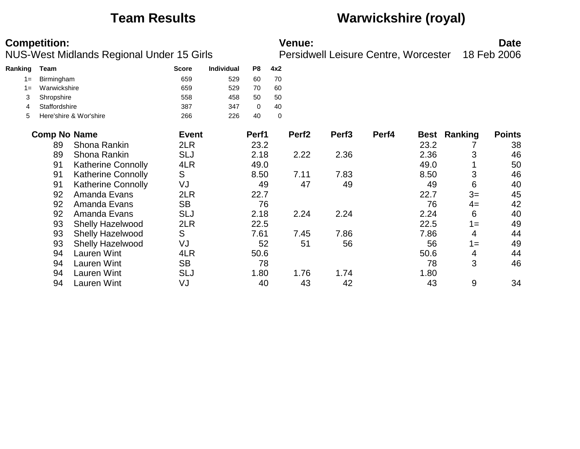## **Team Results Warwickshire (royal)**

|         | <b>Competition:</b> | NUS-West Midlands Regional Under 15 Girls |              |            |                |     | <b>Venue:</b>     | Persidwell Leisure Centre, Worcester |       |      |         | <b>Date</b><br>18 Feb 2006 |
|---------|---------------------|-------------------------------------------|--------------|------------|----------------|-----|-------------------|--------------------------------------|-------|------|---------|----------------------------|
| Ranking | <b>Team</b>         |                                           | <b>Score</b> | Individual | P <sub>8</sub> | 4x2 |                   |                                      |       |      |         |                            |
| $1 =$   | Birmingham          |                                           | 659          | 529        | 60             | 70  |                   |                                      |       |      |         |                            |
| $1 =$   | Warwickshire        |                                           | 659          | 529        | 70             | 60  |                   |                                      |       |      |         |                            |
| 3       | Shropshire          |                                           | 558          | 458        | 50             | 50  |                   |                                      |       |      |         |                            |
| 4       | Staffordshire       |                                           | 387          | 347        | 0              | 40  |                   |                                      |       |      |         |                            |
| 5       |                     | Here'shire & Wor'shire                    | 266          | 226        | 40             | 0   |                   |                                      |       |      |         |                            |
|         | <b>Comp No Name</b> |                                           | <b>Event</b> |            | Perf1          |     | Perf <sub>2</sub> | Perf <sub>3</sub>                    | Perf4 | Best | Ranking | <b>Points</b>              |
|         | 89                  | Shona Rankin                              | 2LR          |            | 23.2           |     |                   |                                      |       | 23.2 |         | 38                         |
|         | 89                  | Shona Rankin                              | <b>SLJ</b>   |            | 2.18           |     | 2.22              | 2.36                                 |       | 2.36 | 3       | 46                         |
|         | 91                  | Katherine Connolly                        | 4LR          |            | 49.0           |     |                   |                                      |       | 49.0 |         | 50                         |
|         | 91                  | <b>Katherine Connolly</b>                 | S            |            | 8.50           |     | 7.11              | 7.83                                 |       | 8.50 | 3       | 46                         |
|         | 91                  | <b>Katherine Connolly</b>                 | VJ           |            | 49             |     | 47                | 49                                   |       | 49   | 6       | 40                         |
|         | 92                  | Amanda Evans                              | 2LR          |            | 22.7           |     |                   |                                      |       | 22.7 | $3=$    | 45                         |
|         | 92                  | Amanda Evans                              | <b>SB</b>    |            | 76             |     |                   |                                      |       | 76   | $4=$    | 42                         |
|         | 92                  | Amanda Evans                              | <b>SLJ</b>   |            | 2.18           |     | 2.24              | 2.24                                 |       | 2.24 | 6       | 40                         |
|         | 93                  | <b>Shelly Hazelwood</b>                   | 2LR          |            | 22.5           |     |                   |                                      |       | 22.5 | $1 =$   | 49                         |
|         | 93                  | <b>Shelly Hazelwood</b>                   | S            |            | 7.61           |     | 7.45              | 7.86                                 |       | 7.86 | 4       | 44                         |
|         | 93                  | Shelly Hazelwood                          | VJ           |            | 52             |     | 51                | 56                                   |       | 56   | $1 =$   | 49                         |
|         | 94                  | <b>Lauren Wint</b>                        | 4LR          |            | 50.6           |     |                   |                                      |       | 50.6 | 4       | 44                         |
|         | 94                  | Lauren Wint                               | <b>SB</b>    |            | 78             |     |                   |                                      |       | 78   | 3       | 46                         |
|         | 94                  | Lauren Wint                               | <b>SLJ</b>   |            | 1.80           |     | 1.76              | 1.74                                 |       | 1.80 |         |                            |
|         | 94                  | Lauren Wint                               | VJ           |            | 40             |     | 43                | 42                                   |       | 43   | 9       | 34                         |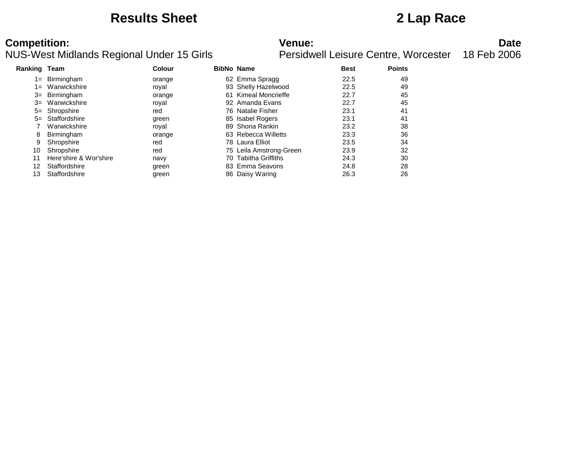### **Results Sheet 2 Lap Race**

| <b>Ranking Team</b> |                        | Colour |     | <b>BibNo Name</b>       | <b>Best</b> | <b>Points</b> |  |
|---------------------|------------------------|--------|-----|-------------------------|-------------|---------------|--|
| 1=                  | Birmingham             | orange |     | 62 Emma Spragg          | 22.5        | 49            |  |
| 1=                  | Warwickshire           | royal  |     | 93 Shelly Hazelwood     | 22.5        | 49            |  |
| $3=$                | Birmingham             | orange | 61. | Kimeal Moncrieffe       | 22.7        | 45            |  |
| $3=$                | Warwickshire           | royal  |     | 92 Amanda Evans         | 22.7        | 45            |  |
|                     | 5= Shropshire          | red    |     | 76 Natalie Fisher       | 23.1        | 41            |  |
| $5=$                | Staffordshire          | green  |     | 85 Isabel Rogers        | 23.1        | 41            |  |
|                     | Warwickshire           | royal  |     | 89 Shona Rankin         | 23.2        | 38            |  |
| 8                   | Birmingham             | orange |     | 63 Rebecca Willetts     | 23.3        | 36            |  |
| 9                   | Shropshire             | red    |     | 78 Laura Elliot         | 23.5        | 34            |  |
| 10                  | Shropshire             | red    |     | 75 Leila Amstrong-Green | 23.9        | 32            |  |
| 11                  | Here'shire & Wor'shire | navy   |     | 70 Tabitha Griffiths    | 24.3        | 30            |  |
| 12                  | Staffordshire          | green  |     | 83 Emma Seavons         | 24.8        | 28            |  |
| 13                  | Staffordshire          | green  |     | 86 Daisy Waring         | 26.3        | 26            |  |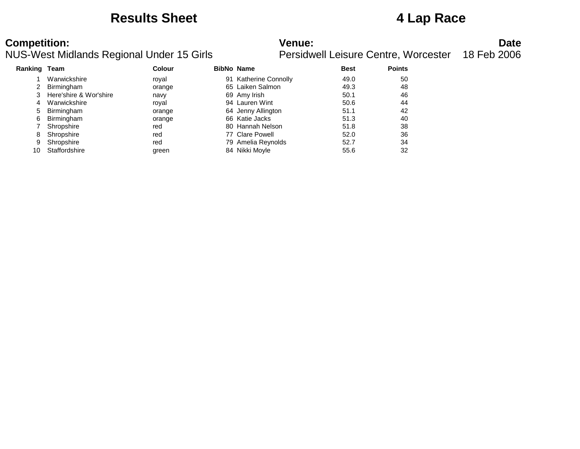### **Results Sheet 4 Lap Race**

| <b>Ranking Team</b> |                        | Colour | <b>BibNo Name</b>     | <b>Best</b> | <b>Points</b> |
|---------------------|------------------------|--------|-----------------------|-------------|---------------|
|                     | Warwickshire           | roval  | 91 Katherine Connolly | 49.0        | 50            |
| 2                   | Birmingham             | orange | 65 Laiken Salmon      | 49.3        | 48            |
|                     | Here'shire & Wor'shire | navy   | 69 Amy Irish          | 50.1        | 46            |
| 4                   | Warwickshire           | roval  | 94 Lauren Wint        | 50.6        | 44            |
| 5                   | Birmingham             | orange | 64 Jenny Allington    | 51.1        | 42            |
| 6                   | Birmingham             | orange | 66 Katie Jacks        | 51.3        | 40            |
|                     | Shropshire             | red    | 80 Hannah Nelson      | 51.8        | 38            |
| 8                   | Shropshire             | red    | 77 Clare Powell       | 52.0        | 36            |
| 9                   | Shropshire             | red    | 79 Amelia Reynolds    | 52.7        | 34            |
|                     | Staffordshire          | green  | 84 Nikki Moyle        | 55.6        | 32            |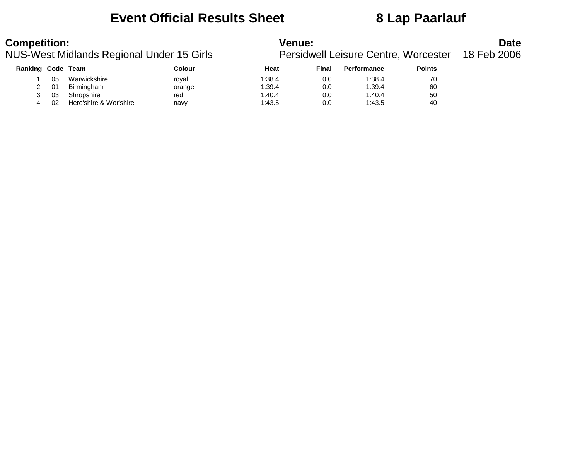### **Event Official Results Sheet 8 Lap Paarlauf**

| Ranking Code Team |     |                        | Colour | Heat   | Final | <b>Performance</b> | <b>Points</b> |  |
|-------------------|-----|------------------------|--------|--------|-------|--------------------|---------------|--|
|                   | 05  | Warwickshire           | roval  | 1:38.4 | 0.0   | 1:38.4             | 70            |  |
|                   | -01 | Birmingham             | orange | 1:39.4 | 0.0   | 1:39.4             | 60            |  |
|                   | 03  | Shropshire             | red    | 1:40.4 | 0.0   | 1:40.4             | 50            |  |
|                   | 02  | Here'shire & Wor'shire | navy   | 1:43.5 | 0.0   | 1:43.5             | 40            |  |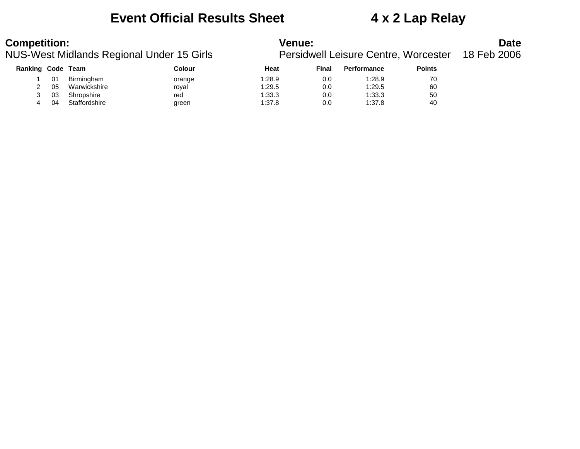### **Event Official Results Sheet 4 x 2 Lap Relay**

| Ranking Code |    | Team          | Colour | Heat   | Final | <b>Performance</b> | <b>Points</b> |
|--------------|----|---------------|--------|--------|-------|--------------------|---------------|
|              | 01 | Birmingham    | orange | 1:28.9 | 0.0   | 1:28.9             | 70            |
|              | 05 | Warwickshire  | roval  | 1:29.5 | 0.0   | 1:29.5             | 60            |
|              | 03 | Shropshire    | red    | 1:33.3 | 0.0   | 1:33.3             | 50            |
|              | 04 | Staffordshire | green  | 1:37.8 | 0.0   | 1:37.8             | 40            |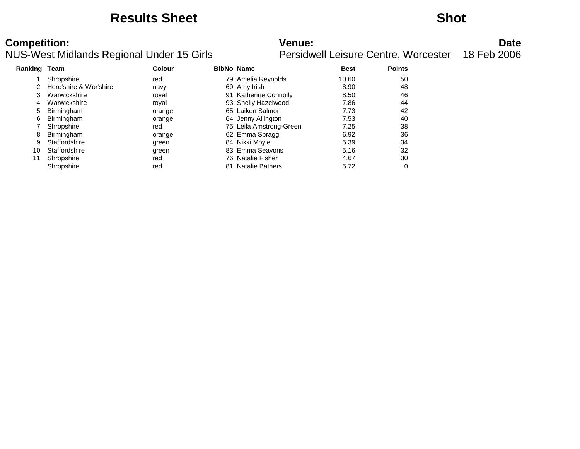### **Results Sheet Shot**

| Ranking Team |                        | Colour |    | <b>BibNo Name</b>         | <b>Best</b> | <b>Points</b> |
|--------------|------------------------|--------|----|---------------------------|-------------|---------------|
|              | Shropshire             | red    |    | 79 Amelia Reynolds        | 10.60       | 50            |
| 2            | Here'shire & Wor'shire | navy   |    | 69 Amy Irish              | 8.90        | 48            |
| 3            | Warwickshire           | royal  | 91 | <b>Katherine Connolly</b> | 8.50        | 46            |
| 4            | Warwickshire           | roval  |    | 93 Shelly Hazelwood       | 7.86        | 44            |
| 5            | Birmingham             | orange |    | 65 Laiken Salmon          | 7.73        | 42            |
| 6            | Birmingham             | orange |    | 64 Jenny Allington        | 7.53        | 40            |
|              | Shropshire             | red    |    | 75 Leila Amstrong-Green   | 7.25        | 38            |
| 8            | Birmingham             | orange |    | 62 Emma Spragg            | 6.92        | 36            |
| 9            | Staffordshire          | green  |    | 84 Nikki Moyle            | 5.39        | 34            |
| 10           | Staffordshire          | green  |    | 83 Emma Seavons           | 5.16        | 32            |
| 11           | Shropshire             | red    | 76 | <b>Natalie Fisher</b>     | 4.67        | 30            |
|              | Shropshire             | red    | 81 | <b>Natalie Bathers</b>    | 5.72        | 0             |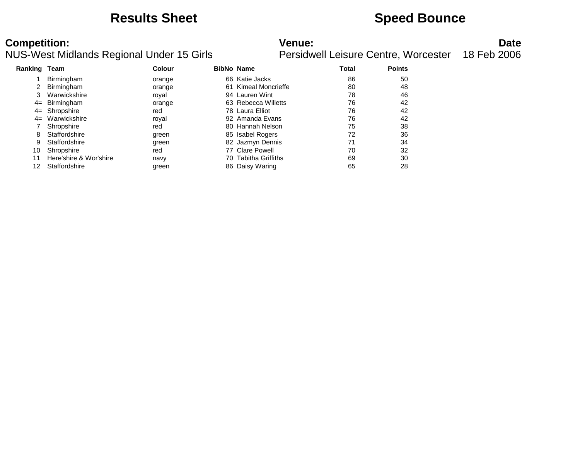### **Results Sheet Speed Bounce**

| <b>Ranking Team</b> |                        | Colour |    | <b>BibNo Name</b>        | Total | <b>Points</b> |
|---------------------|------------------------|--------|----|--------------------------|-------|---------------|
|                     | Birmingham             | orange |    | 66 Katie Jacks           | 86    | 50            |
|                     | Birmingham             | orange |    | 61 Kimeal Moncrieffe     | 80    | 48            |
|                     | Warwickshire           | roval  |    | 94 Lauren Wint           | 78    | 46            |
|                     | 4= Birmingham          | orange |    | 63 Rebecca Willetts      | 76    | 42            |
|                     | 4= Shropshire          | red    |    | 78 Laura Elliot          | 76    | 42            |
| $4=$                | Warwickshire           | roval  |    | 92 Amanda Evans          | 76    | 42            |
|                     | Shropshire             | red    |    | 80 Hannah Nelson         | 75    | 38            |
| 8                   | Staffordshire          | green  |    | 85 Isabel Rogers         | 72    | 36            |
| 9                   | Staffordshire          | green  |    | 82 Jazmyn Dennis         | 71    | 34            |
| 10                  | Shropshire             | red    |    | 77 Clare Powell          | 70    | 32            |
|                     | Here'shire & Wor'shire | navy   | 70 | <b>Tabitha Griffiths</b> | 69    | 30            |
|                     | Staffordshire          | green  |    | 86 Daisy Waring          | 65    | 28            |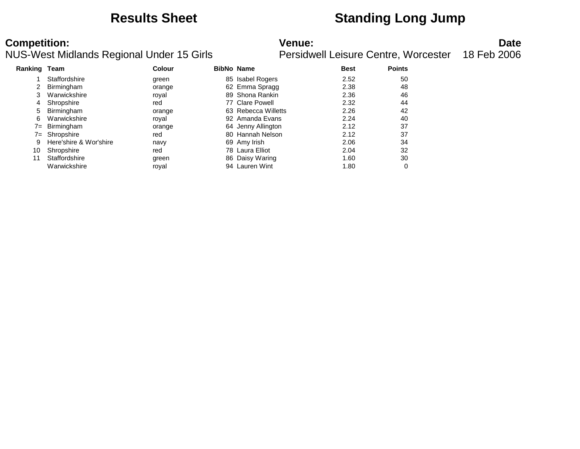### **Results Sheet Standing Long Jump**

| Ranking Team |                        | <b>Colour</b> |    | <b>BibNo Name</b>   | <b>Best</b> | <b>Points</b> |
|--------------|------------------------|---------------|----|---------------------|-------------|---------------|
|              | Staffordshire          | green         | 85 | Isabel Rogers       | 2.52        | 50            |
|              | Birmingham             | orange        |    | 62 Emma Spragg      | 2.38        | 48            |
|              | Warwickshire           | roval         |    | 89 Shona Rankin     | 2.36        | 46            |
| 4            | Shropshire             | red           |    | 77 Clare Powell     | 2.32        | 44            |
| 5.           | Birmingham             | orange        |    | 63 Rebecca Willetts | 2.26        | 42            |
| 6            | Warwickshire           | royal         |    | 92 Amanda Evans     | 2.24        | 40            |
| $7 =$        | Birmingham             | orange        |    | 64 Jenny Allington  | 2.12        | 37            |
|              | 7= Shropshire          | red           |    | 80 Hannah Nelson    | 2.12        | 37            |
| 9            | Here'shire & Wor'shire | navy          |    | 69 Amy Irish        | 2.06        | 34            |
| 10           | Shropshire             | red           |    | 78 Laura Elliot     | 2.04        | 32            |
|              | Staffordshire          | green         |    | 86 Daisy Waring     | 1.60        | 30            |
|              | Warwickshire           | roval         |    | 94 Lauren Wint      | 1.80        |               |